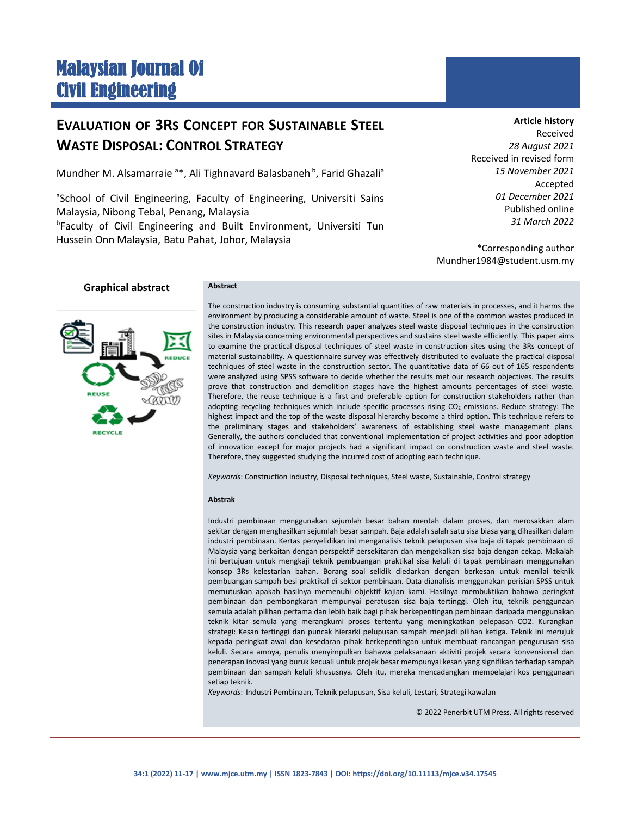# Malaysian Journal Of Civil Engineering

## **EVALUATION OF 3RS CONCEPT FOR SUSTAINABLE STEEL WASTE DISPOSAL: CONTROL STRATEGY**

Mundher M. Alsamarraie <sup>a\*</sup>, Ali Tighnavard Balasbaneh<sup>b</sup>, Farid Ghazali<sup>a</sup>

<sup>a</sup>School of Civil Engineering, Faculty of Engineering, Universiti Sains Malaysia, Nibong Tebal, Penang, Malaysia <sup>b</sup>Faculty of Civil Engineering and Built Environment, Universiti Tun Hussein Onn Malaysia, Batu Pahat, Johor, Malaysia

**Article history**

Received *28 August 2021* Received in revised form *15 November 2021* Accepted *01 December 2021* Published online *31 March 2022*

\*Corresponding author Mundher1984@student.usm.my

**Graphical abstract Abstract**



The construction industry is consuming substantial quantities of raw materials in processes, and it harms the environment by producing a considerable amount of waste. Steel is one of the common wastes produced in the construction industry. This research paper analyzes steel waste disposal techniques in the construction sites in Malaysia concerning environmental perspectives and sustains steel waste efficiently. This paper aims to examine the practical disposal techniques of steel waste in construction sites using the 3Rs concept of material sustainability. A questionnaire survey was effectively distributed to evaluate the practical disposal techniques of steel waste in the construction sector. The quantitative data of 66 out of 165 respondents were analyzed using SPSS software to decide whether the results met our research objectives. The results prove that construction and demolition stages have the highest amounts percentages of steel waste. Therefore, the reuse technique is a first and preferable option for construction stakeholders rather than adopting recycling techniques which include specific processes rising CO<sub>2</sub> emissions. Reduce strategy: The highest impact and the top of the waste disposal hierarchy become a third option. This technique refers to the preliminary stages and stakeholders' awareness of establishing steel waste management plans. Generally, the authors concluded that conventional implementation of project activities and poor adoption of innovation except for major projects had a significant impact on construction waste and steel waste. Therefore, they suggested studying the incurred cost of adopting each technique.

*Keywords*: Construction industry, Disposal techniques, Steel waste, Sustainable, Control strategy

#### **Abstrak**

Industri pembinaan menggunakan sejumlah besar bahan mentah dalam proses, dan merosakkan alam sekitar dengan menghasilkan sejumlah besar sampah. Baja adalah salah satu sisa biasa yang dihasilkan dalam industri pembinaan. Kertas penyelidikan ini menganalisis teknik pelupusan sisa baja di tapak pembinaan di Malaysia yang berkaitan dengan perspektif persekitaran dan mengekalkan sisa baja dengan cekap. Makalah ini bertujuan untuk mengkaji teknik pembuangan praktikal sisa keluli di tapak pembinaan menggunakan konsep 3Rs kelestarian bahan. Borang soal selidik diedarkan dengan berkesan untuk menilai teknik pembuangan sampah besi praktikal di sektor pembinaan. Data dianalisis menggunakan perisian SPSS untuk memutuskan apakah hasilnya memenuhi objektif kajian kami. Hasilnya membuktikan bahawa peringkat pembinaan dan pembongkaran mempunyai peratusan sisa baja tertinggi. Oleh itu, teknik penggunaan semula adalah pilihan pertama dan lebih baik bagi pihak berkepentingan pembinaan daripada menggunakan teknik kitar semula yang merangkumi proses tertentu yang meningkatkan pelepasan CO2. Kurangkan strategi: Kesan tertinggi dan puncak hierarki pelupusan sampah menjadi pilihan ketiga. Teknik ini merujuk kepada peringkat awal dan kesedaran pihak berkepentingan untuk membuat rancangan pengurusan sisa keluli. Secara amnya, penulis menyimpulkan bahawa pelaksanaan aktiviti projek secara konvensional dan penerapan inovasi yang buruk kecuali untuk projek besar mempunyai kesan yang signifikan terhadap sampah pembinaan dan sampah keluli khususnya. Oleh itu, mereka mencadangkan mempelajari kos penggunaan setiap teknik.

*Keywords*: Industri Pembinaan, Teknik pelupusan, Sisa keluli, Lestari, Strategi kawalan

© 2022 Penerbit UTM Press. All rights reserved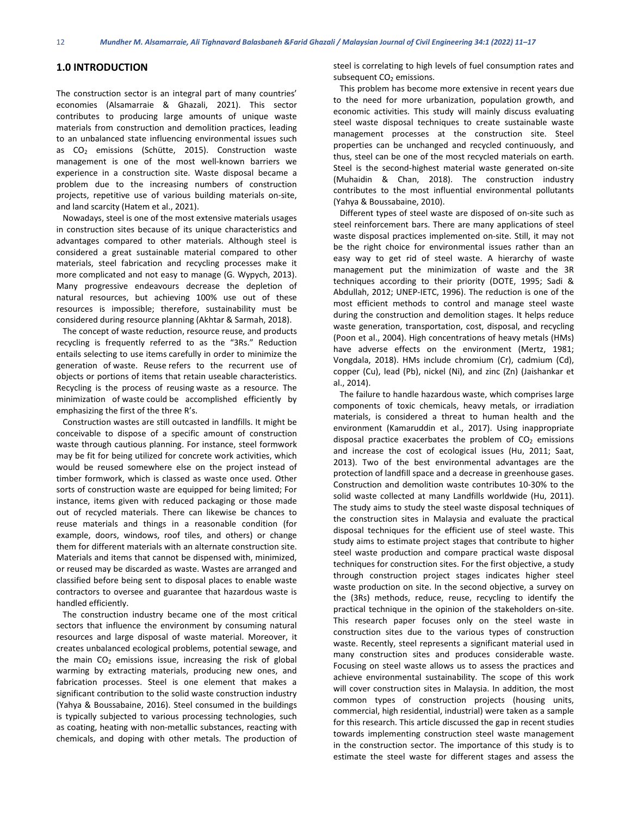#### **1.0 INTRODUCTION**

The construction sector is an integral part of many countries' economies (Alsamarraie & Ghazali, 2021). This sector contributes to producing large amounts of unique waste materials from construction and demolition practices, leading to an unbalanced state influencing environmental issues such as  $CO<sub>2</sub>$  emissions (Schütte, 2015). Construction waste management is one of the most well-known barriers we experience in a construction site. Waste disposal became a problem due to the increasing numbers of construction projects, repetitive use of various building materials on-site, and land scarcity (Hatem et al., 2021).

 Nowadays, steel is one of the most extensive materials usages in construction sites because of its unique characteristics and advantages compared to other materials. Although steel is considered a great sustainable material compared to other materials, steel fabrication and recycling processes make it more complicated and not easy to manage (G. Wypych, 2013). Many progressive endeavours decrease the depletion of natural resources, but achieving 100% use out of these resources is impossible; therefore, sustainability must be considered during resource planning (Akhtar & Sarmah, 2018).

 The concept of waste reduction, resource reuse, and products recycling is frequently referred to as the "3Rs." Reduction entails selecting to use items carefully in order to minimize the generation of waste. Reuse refers to the recurrent use of objects or portions of items that retain useable characteristics. Recycling is the process of reusing waste as a resource. The minimization of waste could be accomplished efficiently by emphasizing the first of the three R's.

 Construction wastes are still outcasted in landfills. It might be conceivable to dispose of a specific amount of construction waste through cautious planning. For instance, steel formwork may be fit for being utilized for concrete work activities, which would be reused somewhere else on the project instead of timber formwork, which is classed as waste once used. Other sorts of construction waste are equipped for being limited: For instance, items given with reduced packaging or those made out of recycled materials. There can likewise be chances to reuse materials and things in a reasonable condition (for example, doors, windows, roof tiles, and others) or change them for different materials with an alternate construction site. Materials and items that cannot be dispensed with, minimized, or reused may be discarded as waste. Wastes are arranged and classified before being sent to disposal places to enable waste contractors to oversee and guarantee that hazardous waste is handled efficiently.

 The construction industry became one of the most critical sectors that influence the environment by consuming natural resources and large disposal of waste material. Moreover, it creates unbalanced ecological problems, potential sewage, and the main  $CO<sub>2</sub>$  emissions issue, increasing the risk of global warming by extracting materials, producing new ones, and fabrication processes. Steel is one element that makes a significant contribution to the solid waste construction industry (Yahya & Boussabaine, 2016). Steel consumed in the buildings is typically subjected to various processing technologies, such as coating, heating with non-metallic substances, reacting with chemicals, and doping with other metals. The production of

steel is correlating to high levels of fuel consumption rates and subsequent  $CO<sub>2</sub>$  emissions.

 This problem has become more extensive in recent years due to the need for more urbanization, population growth, and economic activities. This study will mainly discuss evaluating steel waste disposal techniques to create sustainable waste management processes at the construction site. Steel properties can be unchanged and recycled continuously, and thus, steel can be one of the most recycled materials on earth. Steel is the second-highest material waste generated on-site (Muhaidin & Chan, 2018). The construction industry contributes to the most influential environmental pollutants (Yahya & Boussabaine, 2010).

 Different types of steel waste are disposed of on-site such as steel reinforcement bars. There are many applications of steel waste disposal practices implemented on-site. Still, it may not be the right choice for environmental issues rather than an easy way to get rid of steel waste. A hierarchy of waste management put the minimization of waste and the 3R techniques according to their priority (DOTE, 1995; Sadi & Abdullah, 2012; UNEP-IETC, 1996). The reduction is one of the most efficient methods to control and manage steel waste during the construction and demolition stages. It helps reduce waste generation, transportation, cost, disposal, and recycling (Poon et al., 2004). High concentrations of heavy metals (HMs) have adverse effects on the environment (Mertz, 1981; Vongdala, 2018). HMs include chromium (Cr), cadmium (Cd), copper (Cu), lead (Pb), nickel (Ni), and zinc (Zn) (Jaishankar et al., 2014).

 The failure to handle hazardous waste, which comprises large components of toxic chemicals, heavy metals, or irradiation materials, is considered a threat to human health and the environment (Kamaruddin et al., 2017). Using inappropriate disposal practice exacerbates the problem of  $CO<sub>2</sub>$  emissions and increase the cost of ecological issues (Hu, 2011; Saat, 2013). Two of the best environmental advantages are the protection of landfill space and a decrease in greenhouse gases. Construction and demolition waste contributes 10-30% to the solid waste collected at many Landfills worldwide (Hu, 2011). The study aims to study the steel waste disposal techniques of the construction sites in Malaysia and evaluate the practical disposal techniques for the efficient use of steel waste. This study aims to estimate project stages that contribute to higher steel waste production and compare practical waste disposal techniques for construction sites. For the first objective, a study through construction project stages indicates higher steel waste production on site. In the second objective, a survey on the (3Rs) methods, reduce, reuse, recycling to identify the practical technique in the opinion of the stakeholders on-site. This research paper focuses only on the steel waste in construction sites due to the various types of construction waste. Recently, steel represents a significant material used in many construction sites and produces considerable waste. Focusing on steel waste allows us to assess the practices and achieve environmental sustainability. The scope of this work will cover construction sites in Malaysia. In addition, the most common types of construction projects (housing units, commercial, high residential, industrial) were taken as a sample for this research. This article discussed the gap in recent studies towards implementing construction steel waste management in the construction sector. The importance of this study is to estimate the steel waste for different stages and assess the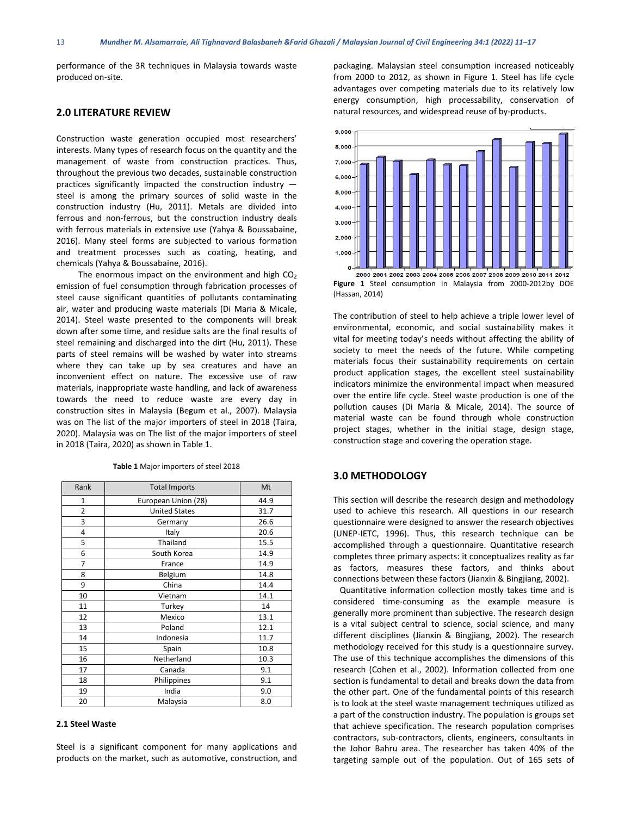performance of the 3R techniques in Malaysia towards waste produced on-site.

### **2.0 LITERATURE REVIEW**

Construction waste generation occupied most researchers' interests. Many types of research focus on the quantity and the management of waste from construction practices. Thus, throughout the previous two decades, sustainable construction practices significantly impacted the construction industry steel is among the primary sources of solid waste in the construction industry (Hu, 2011). Metals are divided into ferrous and non-ferrous, but the construction industry deals with ferrous materials in extensive use (Yahya & Boussabaine, 2016). Many steel forms are subjected to various formation and treatment processes such as coating, heating, and chemicals (Yahya & Boussabaine, 2016).

The enormous impact on the environment and high  $CO<sub>2</sub>$ emission of fuel consumption through fabrication processes of steel cause significant quantities of pollutants contaminating air, water and producing waste materials (Di Maria & Micale, 2014). Steel waste presented to the components will break down after some time, and residue salts are the final results of steel remaining and discharged into the dirt (Hu, 2011). These parts of steel remains will be washed by water into streams where they can take up by sea creatures and have an inconvenient effect on nature. The excessive use of raw materials, inappropriate waste handling, and lack of awareness towards the need to reduce waste are every day in construction sites in Malaysia (Begum et al., 2007). Malaysia was on The list of the major importers of steel in 2018 (Taira, 2020). Malaysia was on The list of the major importers of steel in 2018 (Taira, 2020) as shown in Table 1.

| Rank           | <b>Total Imports</b> | Mt   |
|----------------|----------------------|------|
| 1              | European Union (28)  | 44.9 |
| $\overline{2}$ | <b>United States</b> | 31.7 |
| 3              | Germany              | 26.6 |
| 4              | Italy                | 20.6 |
| 5              | Thailand             | 15.5 |
| 6              | South Korea          | 14.9 |
| $\overline{7}$ | France               | 14.9 |
| 8              | Belgium              | 14.8 |
| 9              | China                | 14.4 |
| 10             | Vietnam              | 14.1 |
| 11             | Turkey               | 14   |
| 12             | Mexico               | 13.1 |
| 13             | Poland               | 12.1 |
| 14             | Indonesia            | 11.7 |
| 15             | Spain                | 10.8 |
| 16             | Netherland           | 10.3 |
| 17             | Canada               | 9.1  |
| 18             | Philippines          | 9.1  |
| 19             | India                | 9.0  |
| 20             | Malaysia             | 8.0  |

**Table 1** Major importers of steel 2018

#### **2.1 Steel Waste**

Steel is a significant component for many applications and products on the market, such as automotive, construction, and

packaging. Malaysian steel consumption increased noticeably from 2000 to 2012, as shown in Figure 1. Steel has life cycle advantages over competing materials due to its relatively low energy consumption, high processability, conservation of natural resources, and widespread reuse of by-products.



**Figure 1** Steel consumption in Malaysia from 2000-2012by DOE (Hassan, 2014)

The contribution of steel to help achieve a triple lower level of environmental, economic, and social sustainability makes it vital for meeting today's needs without affecting the ability of society to meet the needs of the future. While competing materials focus their sustainability requirements on certain product application stages, the excellent steel sustainability indicators minimize the environmental impact when measured over the entire life cycle. Steel waste production is one of the pollution causes (Di Maria & Micale, 2014). The source of material waste can be found through whole construction project stages, whether in the initial stage, design stage, construction stage and covering the operation stage.

### **3.0 METHODOLOGY**

This section will describe the research design and methodology used to achieve this research. All questions in our research questionnaire were designed to answer the research objectives (UNEP-IETC, 1996). Thus, this research technique can be accomplished through a questionnaire. Quantitative research completes three primary aspects: it conceptualizes reality as far as factors, measures these factors, and thinks about connections between these factors (Jianxin & Bingjiang, 2002).

 Quantitative information collection mostly takes time and is considered time-consuming as the example measure is generally more prominent than subjective. The research design is a vital subject central to science, social science, and many different disciplines (Jianxin & Bingjiang, 2002). The research methodology received for this study is a questionnaire survey. The use of this technique accomplishes the dimensions of this research (Cohen et al., 2002). Information collected from one section is fundamental to detail and breaks down the data from the other part. One of the fundamental points of this research is to look at the steel waste management techniques utilized as a part of the construction industry. The population is groups set that achieve specification. The research population comprises contractors, sub-contractors, clients, engineers, consultants in the Johor Bahru area. The researcher has taken 40% of the targeting sample out of the population. Out of 165 sets of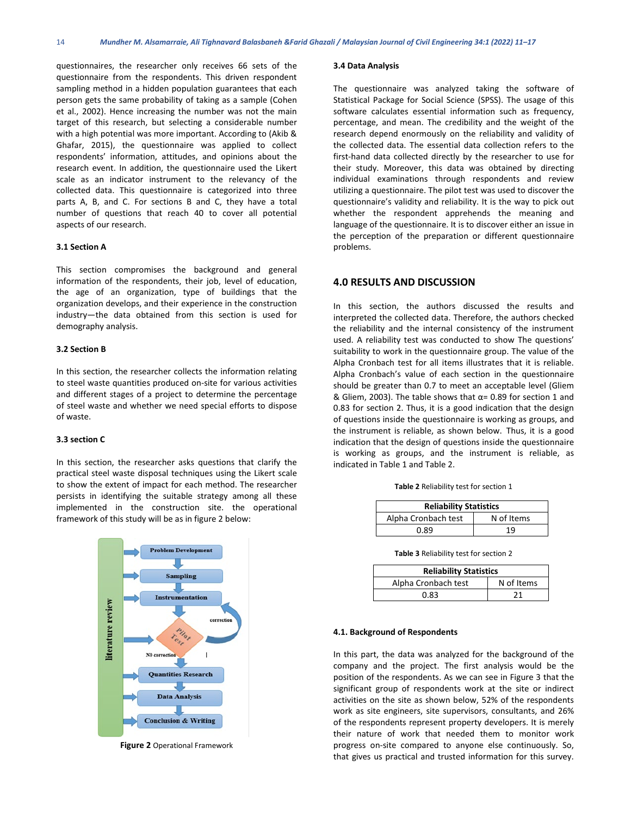questionnaires, the researcher only receives 66 sets of the questionnaire from the respondents. This driven respondent sampling method in a hidden population guarantees that each person gets the same probability of taking as a sample (Cohen et al., 2002). Hence increasing the number was not the main target of this research, but selecting a considerable number with a high potential was more important. According to (Akib & Ghafar, 2015), the questionnaire was applied to collect respondents' information, attitudes, and opinions about the research event. In addition, the questionnaire used the Likert scale as an indicator instrument to the relevancy of the collected data. This questionnaire is categorized into three parts A, B, and C. For sections B and C, they have a total number of questions that reach 40 to cover all potential aspects of our research.

#### **3.1 Section A**

This section compromises the background and general information of the respondents, their job, level of education, the age of an organization, type of buildings that the organization develops, and their experience in the construction industry—the data obtained from this section is used for demography analysis.

#### **3.2 Section B**

In this section, the researcher collects the information relating to steel waste quantities produced on-site for various activities and different stages of a project to determine the percentage of steel waste and whether we need special efforts to dispose of waste.

#### **3.3 section C**

In this section, the researcher asks questions that clarify the practical steel waste disposal techniques using the Likert scale to show the extent of impact for each method. The researcher persists in identifying the suitable strategy among all these implemented in the construction site. the operational framework of this study will be as in figure 2 below:



**Figure 2** Operational Framework

#### **3.4 Data Analysis**

The questionnaire was analyzed taking the software of Statistical Package for Social Science (SPSS). The usage of this software calculates essential information such as frequency, percentage, and mean. The credibility and the weight of the research depend enormously on the reliability and validity of the collected data. The essential data collection refers to the first-hand data collected directly by the researcher to use for their study. Moreover, this data was obtained by directing individual examinations through respondents and review utilizing a questionnaire. The pilot test was used to discover the questionnaire's validity and reliability. It is the way to pick out whether the respondent apprehends the meaning and language of the questionnaire. It is to discover either an issue in the perception of the preparation or different questionnaire problems.

#### **4.0 RESULTS AND DISCUSSION**

In this section, the authors discussed the results and interpreted the collected data. Therefore, the authors checked the reliability and the internal consistency of the instrument used. A reliability test was conducted to show The questions' suitability to work in the questionnaire group. The value of the Alpha Cronbach test for all items illustrates that it is reliable. Alpha Cronbach's value of each section in the questionnaire should be greater than 0.7 to meet an acceptable level (Gliem & Gliem, 2003). The table shows that α= 0.89 for section 1 and 0.83 for section 2. Thus, it is a good indication that the design of questions inside the questionnaire is working as groups, and the instrument is reliable, as shown below. Thus, it is a good indication that the design of questions inside the questionnaire is working as groups, and the instrument is reliable, as indicated in Table 1 and Table 2.

**Table 2** Reliability test for section 1

| <b>Reliability Statistics</b> |            |  |  |  |  |
|-------------------------------|------------|--|--|--|--|
| Alpha Cronbach test           | N of Items |  |  |  |  |
| 0.89                          | 19         |  |  |  |  |

**Table 3** Reliability test for section 2

| <b>Reliability Statistics</b> |            |  |  |  |
|-------------------------------|------------|--|--|--|
| Alpha Cronbach test           | N of Items |  |  |  |
| 0.83                          | 21         |  |  |  |

#### **4.1. Background of Respondents**

In this part, the data was analyzed for the background of the company and the project. The first analysis would be the position of the respondents. As we can see in Figure 3 that the significant group of respondents work at the site or indirect activities on the site as shown below, 52% of the respondents work as site engineers, site supervisors, consultants, and 26% of the respondents represent property developers. It is merely their nature of work that needed them to monitor work progress on-site compared to anyone else continuously. So, that gives us practical and trusted information for this survey.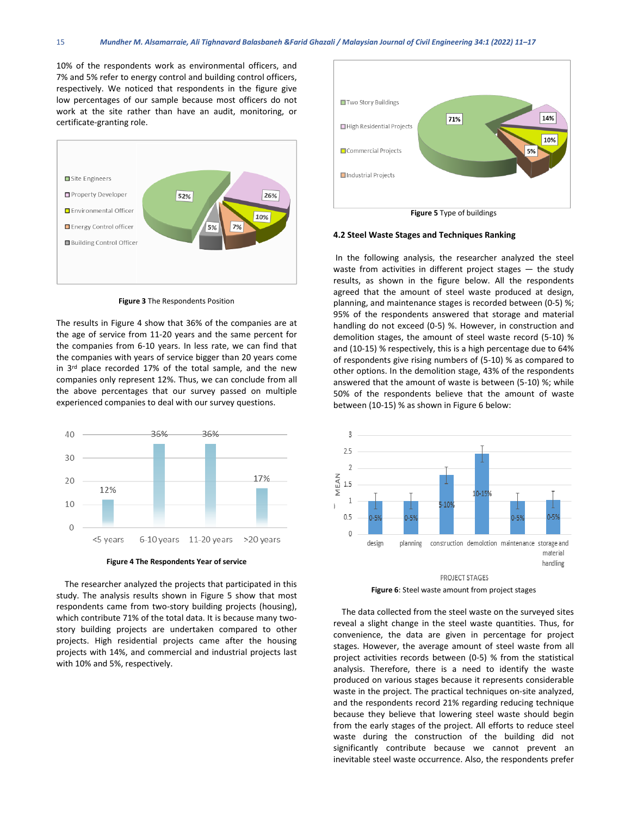10% of the respondents work as environmental officers, and 7% and 5% refer to energy control and building control officers, respectively. We noticed that respondents in the figure give low percentages of our sample because most officers do not work at the site rather than have an audit, monitoring, or certificate-granting role.



**Figure 3** The Respondents Position

The results in Figure 4 show that 36% of the companies are at the age of service from 11-20 years and the same percent for the companies from 6-10 years. In less rate, we can find that the companies with years of service bigger than 20 years come in 3<sup>rd</sup> place recorded 17% of the total sample, and the new companies only represent 12%. Thus, we can conclude from all the above percentages that our survey passed on multiple experienced companies to deal with our survey questions.



**Figure 4 The Respondents Year of service**

 The researcher analyzed the projects that participated in this study. The analysis results shown in Figure 5 show that most respondents came from two-story building projects (housing), which contribute 71% of the total data. It is because many twostory building projects are undertaken compared to other projects. High residential projects came after the housing projects with 14%, and commercial and industrial projects last with 10% and 5%, respectively.



**Figure 5** Type of buildings

#### **4.2 Steel Waste Stages and Techniques Ranking**

In the following analysis, the researcher analyzed the steel waste from activities in different project stages — the study results, as shown in the figure below. All the respondents agreed that the amount of steel waste produced at design, planning, and maintenance stages is recorded between (0-5) %; 95% of the respondents answered that storage and material handling do not exceed (0-5) %. However, in construction and demolition stages, the amount of steel waste record (5-10) % and (10-15) % respectively, this is a high percentage due to 64% of respondents give rising numbers of (5-10) % as compared to other options. In the demolition stage, 43% of the respondents answered that the amount of waste is between (5-10) %; while 50% of the respondents believe that the amount of waste between (10-15) % as shown in Figure 6 below:



**Figure 6**: Steel waste amount from project stages

 The data collected from the steel waste on the surveyed sites reveal a slight change in the steel waste quantities. Thus, for convenience, the data are given in percentage for project stages. However, the average amount of steel waste from all project activities records between (0-5) % from the statistical analysis. Therefore, there is a need to identify the waste produced on various stages because it represents considerable waste in the project. The practical techniques on-site analyzed, and the respondents record 21% regarding reducing technique because they believe that lowering steel waste should begin from the early stages of the project. All efforts to reduce steel waste during the construction of the building did not significantly contribute because we cannot prevent an inevitable steel waste occurrence. Also, the respondents prefer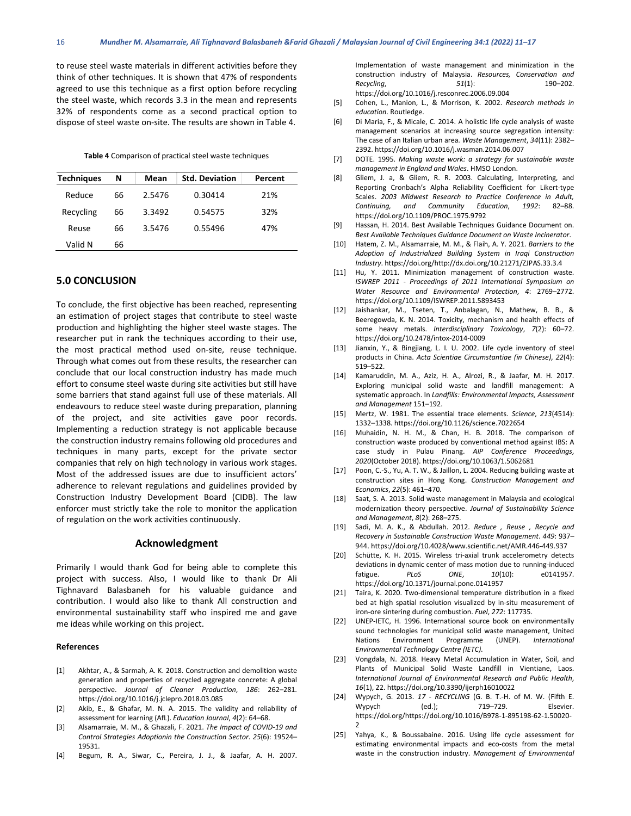to reuse steel waste materials in different activities before they think of other techniques. It is shown that 47% of respondents agreed to use this technique as a first option before recycling the steel waste, which records 3.3 in the mean and represents 32% of respondents come as a second practical option to dispose of steel waste on-site. The results are shown in Table 4.

**Table 4** Comparison of practical steel waste techniques

| <b>Techniques</b> | N  | Mean   | <b>Std. Deviation</b> | Percent |
|-------------------|----|--------|-----------------------|---------|
| Reduce            | 66 | 2.5476 | 0.30414               | 21%     |
| Recycling         | 66 | 3.3492 | 0.54575               | 32%     |
| Reuse             | 66 | 3.5476 | 0.55496               | 47%     |
| Valid N           | 66 |        |                       |         |

#### **5.0 CONCLUSION**

To conclude, the first objective has been reached, representing an estimation of project stages that contribute to steel waste production and highlighting the higher steel waste stages. The researcher put in rank the techniques according to their use, the most practical method used on-site, reuse technique. Through what comes out from these results, the researcher can conclude that our local construction industry has made much effort to consume steel waste during site activities but still have some barriers that stand against full use of these materials. All endeavours to reduce steel waste during preparation, planning of the project, and site activities gave poor records. Implementing a reduction strategy is not applicable because the construction industry remains following old procedures and techniques in many parts, except for the private sector companies that rely on high technology in various work stages. Most of the addressed issues are due to insufficient actors' adherence to relevant regulations and guidelines provided by Construction Industry Development Board (CIDB). The law enforcer must strictly take the role to monitor the application of regulation on the work activities continuously.

#### **Acknowledgment**

Primarily I would thank God for being able to complete this project with success. Also, I would like to thank Dr Ali Tighnavard Balasbaneh for his valuable guidance and contribution. I would also like to thank All construction and environmental sustainability staff who inspired me and gave me ideas while working on this project.

#### **References**

- [1] Akhtar, A., & Sarmah, A. K. 2018. Construction and demolition waste generation and properties of recycled aggregate concrete: A global perspective. *Journal of Cleaner Production*, *186*: 262–281. https://doi.org/10.1016/j.jclepro.2018.03.085
- [2] Akib, E., & Ghafar, M. N. A. 2015. The validity and reliability of assessment for learning (AfL). *Education Journal*, *4*(2): 64–68.
- [3] Alsamarraie, M. M., & Ghazali, F. 2021. *The Impact of COVID-19 and Control Strategies Adoptionin the Construction Sector*. *25*(6): 19524– 19531.
- [4] Begum, R. A., Siwar, C., Pereira, J. J., & Jaafar, A. H. 2007.

Implementation of waste management and minimization in the construction industry of Malaysia. *Resources, Conservation and Recycling*, *51*(1): 190–202. https://doi.org/10.1016/j.resconrec.2006.09.004

- [5] Cohen, L., Manion, L., & Morrison, K. 2002. *Research methods in education*. Routledge.
- [6] Di Maria, F., & Micale, C. 2014. A holistic life cycle analysis of waste management scenarios at increasing source segregation intensity: The case of an Italian urban area. *Waste Management*, *34*(11): 2382– 2392. https://doi.org/10.1016/j.wasman.2014.06.007
- [7] DOTE. 1995. *Making waste work: a strategy for sustainable waste management in England and Wales*. HMSO London.
- [8] Gliem, J. a, & Gliem, R. R. 2003. Calculating, Interpreting, and Reporting Cronbach's Alpha Reliability Coefficient for Likert-type Scales. *2003 Midwest Research to Practice Conference in Adult, Continuing, and Community Education*, *1992*: 82–88. https://doi.org/10.1109/PROC.1975.9792
- [9] Hassan, H. 2014. Best Available Techniques Guidance Document on. *Best Available Techniques Guidance Document on Waste Incinerator*.
- [10] Hatem, Z. M., Alsamarraie, M. M., & Flaih, A. Y. 2021. *Barriers to the Adoption of Industrialized Building System in Iraqi Construction Industry*. https://doi.org/http://dx.doi.org/10.21271/ZJPAS.33.3.4
- [11] Hu, Y. 2011. Minimization management of construction waste. *ISWREP 2011 - Proceedings of 2011 International Symposium on Water Resource and Environmental Protection*, *4*: 2769–2772. https://doi.org/10.1109/ISWREP.2011.5893453
- [12] Jaishankar, M., Tseten, T., Anbalagan, N., Mathew, B. B., & Beeregowda, K. N. 2014. Toxicity, mechanism and health effects of some heavy metals. *Interdisciplinary Toxicology*, *7*(2): 60–72. https://doi.org/10.2478/intox-2014-0009
- [13] Jianxin, Y., & Bingjiang, L. I. U. 2002. Life cycle inventory of steel products in China. *Acta Scientiae Circumstantiae (in Chinese)*, *22*(4): 519–522.
- [14] Kamaruddin, M. A., Aziz, H. A., Alrozi, R., & Jaafar, M. H. 2017. Exploring municipal solid waste and landfill management: A systematic approach. In *Landfills: Environmental Impacts, Assessment and Management* 151–192.
- [15] Mertz, W. 1981. The essential trace elements. *Science*, *213*(4514): 1332–1338. https://doi.org/10.1126/science.7022654
- [16] Muhaidin, N. H. M., & Chan, H. B. 2018. The comparison of construction waste produced by conventional method against IBS: A case study in Pulau Pinang. *AIP Conference Proceedings*, *2020*(October 2018). https://doi.org/10.1063/1.5062681
- [17] Poon, C.-S., Yu, A. T. W., & Jaillon, L. 2004. Reducing building waste at construction sites in Hong Kong. *Construction Management and Economics*, *22*(5): 461–470.
- [18] Saat, S. A. 2013. Solid waste management in Malaysia and ecological modernization theory perspective. *Journal of Sustainability Science and Management*, *8*(2): 268–275.
- [19] Sadi, M. A. K., & Abdullah. 2012. *Reduce , Reuse , Recycle and Recovery in Sustainable Construction Waste Management*. *449*: 937– 944. https://doi.org/10.4028/www.scientific.net/AMR.446-449.937
- [20] Schütte, K. H. 2015. Wireless tri-axial trunk accelerometry detects deviations in dynamic center of mass motion due to running-induced fatigue. *PLoS ONE*, *10*(10): e0141957. https://doi.org/10.1371/journal.pone.0141957
- [21] Taira, K. 2020. Two-dimensional temperature distribution in a fixed bed at high spatial resolution visualized by in-situ measurement of iron-ore sintering during combustion. *Fuel*, *272*: 117735.
- [22] UNEP-IETC, H. 1996. International source book on environmentally sound technologies for municipal solid waste management, United Nations Environment Programme (UNEP). *International Environmental Technology Centre (IETC)*.
- [23] Vongdala, N. 2018. Heavy Metal Accumulation in Water, Soil, and Plants of Municipal Solid Waste Landfill in Vientiane, Laos. *International Journal of Environmental Research and Public Health*, *16*(1), 22. https://doi.org/10.3390/ijerph16010022
- [24] Wypych, G. 2013. *17 - RECYCLING* (G. B. T.-H. of M. W. (Fifth E. Wypych (ed.); 719–729. Elsevier. https://doi.org/https://doi.org/10.1016/B978-1-895198-62-1.50020- 2
- [25] Yahya, K., & Boussabaine. 2016. Using life cycle assessment for estimating environmental impacts and eco-costs from the metal waste in the construction industry. *Management of Environmental*